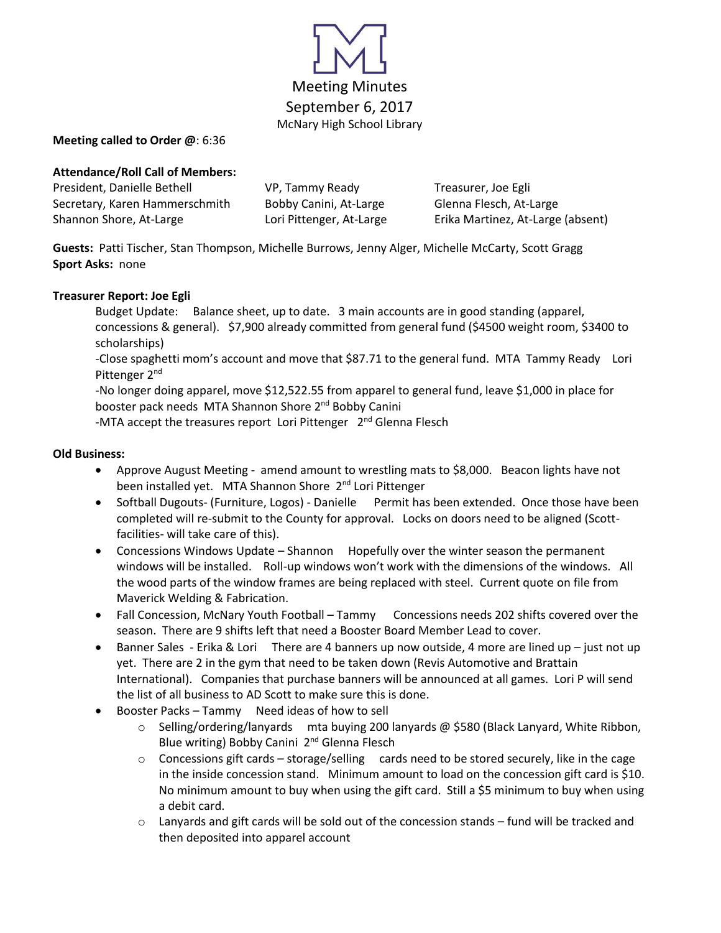

### **Meeting called to Order @**: 6:36

### **Attendance/Roll Call of Members:**

| President, Danielle Bethell    | VP, Tammy Ready          | Treasurer, Joe Egli               |
|--------------------------------|--------------------------|-----------------------------------|
| Secretary, Karen Hammerschmith | Bobby Canini, At-Large   | Glenna Flesch, At-Large           |
| Shannon Shore, At-Large        | Lori Pittenger, At-Large | Erika Martinez, At-Large (absent) |

**Guests:** Patti Tischer, Stan Thompson, Michelle Burrows, Jenny Alger, Michelle McCarty, Scott Gragg **Sport Asks:** none

### **Treasurer Report: Joe Egli**

Budget Update: Balance sheet, up to date. 3 main accounts are in good standing (apparel, concessions & general). \$7,900 already committed from general fund (\$4500 weight room, \$3400 to scholarships)

-Close spaghetti mom's account and move that \$87.71 to the general fund. MTA Tammy Ready Lori Pittenger 2<sup>nd</sup>

-No longer doing apparel, move \$12,522.55 from apparel to general fund, leave \$1,000 in place for booster pack needs MTA Shannon Shore 2<sup>nd</sup> Bobby Canini

-MTA accept the treasures report Lori Pittenger 2<sup>nd</sup> Glenna Flesch

### **Old Business:**

- Approve August Meeting amend amount to wrestling mats to \$8,000. Beacon lights have not been installed yet. MTA Shannon Shore 2<sup>nd</sup> Lori Pittenger
- Softball Dugouts- (Furniture, Logos) Danielle Permit has been extended. Once those have been completed will re-submit to the County for approval. Locks on doors need to be aligned (Scottfacilities- will take care of this).
- Concessions Windows Update Shannon Hopefully over the winter season the permanent windows will be installed. Roll-up windows won't work with the dimensions of the windows. All the wood parts of the window frames are being replaced with steel. Current quote on file from Maverick Welding & Fabrication.
- Fall Concession, McNary Youth Football Tammy Concessions needs 202 shifts covered over the season. There are 9 shifts left that need a Booster Board Member Lead to cover.
- Banner Sales Erika & Lori There are 4 banners up now outside, 4 more are lined up just not up yet. There are 2 in the gym that need to be taken down (Revis Automotive and Brattain International). Companies that purchase banners will be announced at all games. Lori P will send the list of all business to AD Scott to make sure this is done.
- Booster Packs Tammy Need ideas of how to sell
	- $\circ$  Selling/ordering/lanyards mta buying 200 lanyards @ \$580 (Black Lanyard, White Ribbon, Blue writing) Bobby Canini 2<sup>nd</sup> Glenna Flesch
	- $\circ$  Concessions gift cards storage/selling cards need to be stored securely, like in the cage in the inside concession stand. Minimum amount to load on the concession gift card is \$10. No minimum amount to buy when using the gift card. Still a \$5 minimum to buy when using a debit card.
	- $\circ$  Lanyards and gift cards will be sold out of the concession stands fund will be tracked and then deposited into apparel account